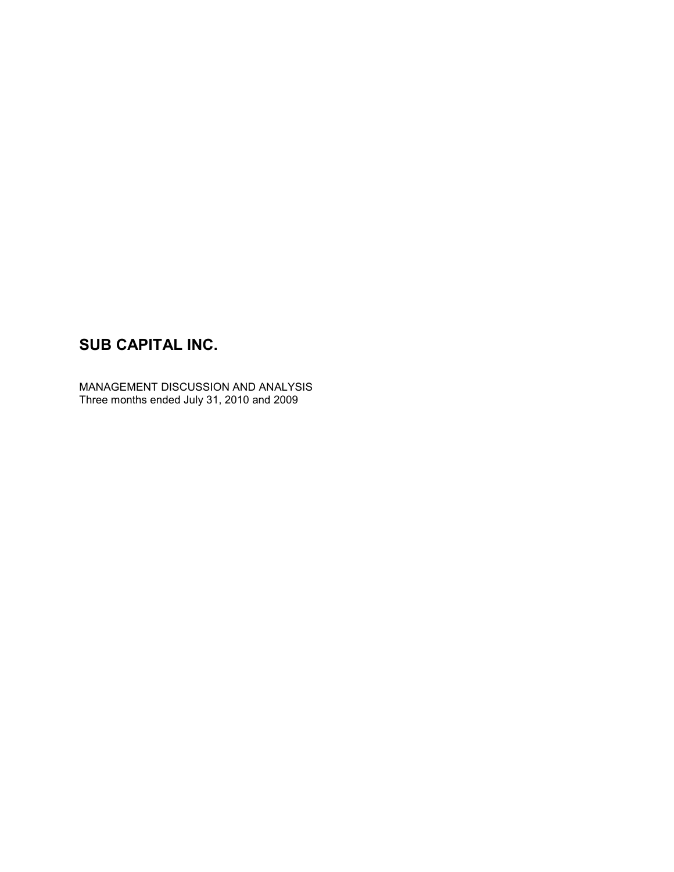MANAGEMENT DISCUSSION AND ANALYSIS Three months ended July 31, 2010 and 2009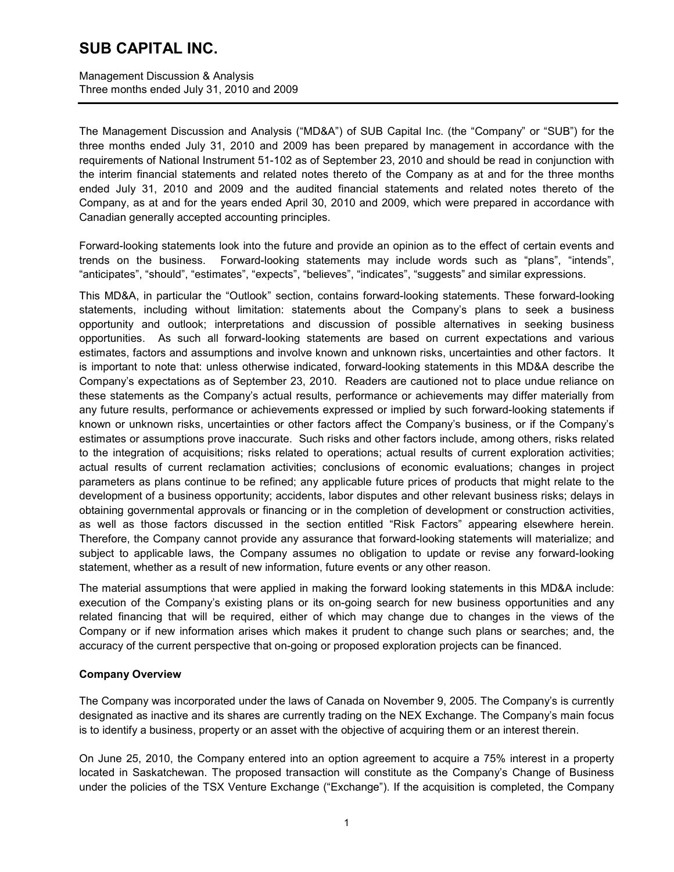Management Discussion & Analysis Three months ended July 31, 2010 and 2009

The Management Discussion and Analysis ("MD&A") of SUB Capital Inc. (the "Company" or "SUB") for the three months ended July 31, 2010 and 2009 has been prepared by management in accordance with the requirements of National Instrument 51-102 as of September 23, 2010 and should be read in conjunction with the interim financial statements and related notes thereto of the Company as at and for the three months ended July 31, 2010 and 2009 and the audited financial statements and related notes thereto of the Company, as at and for the years ended April 30, 2010 and 2009, which were prepared in accordance with Canadian generally accepted accounting principles.

Forward-looking statements look into the future and provide an opinion as to the effect of certain events and trends on the business. Forward-looking statements may include words such as "plans", "intends", "anticipates", "should", "estimates", "expects", "believes", "indicates", "suggests" and similar expressions.

This MD&A, in particular the "Outlook" section, contains forward-looking statements. These forward-looking statements, including without limitation: statements about the Company's plans to seek a business opportunity and outlook; interpretations and discussion of possible alternatives in seeking business opportunities. As such all forward-looking statements are based on current expectations and various estimates, factors and assumptions and involve known and unknown risks, uncertainties and other factors. It is important to note that: unless otherwise indicated, forward-looking statements in this MD&A describe the Company's expectations as of September 23, 2010. Readers are cautioned not to place undue reliance on these statements as the Company's actual results, performance or achievements may differ materially from any future results, performance or achievements expressed or implied by such forward-looking statements if known or unknown risks, uncertainties or other factors affect the Company's business, or if the Company's estimates or assumptions prove inaccurate. Such risks and other factors include, among others, risks related to the integration of acquisitions; risks related to operations; actual results of current exploration activities; actual results of current reclamation activities; conclusions of economic evaluations; changes in project parameters as plans continue to be refined; any applicable future prices of products that might relate to the development of a business opportunity; accidents, labor disputes and other relevant business risks; delays in obtaining governmental approvals or financing or in the completion of development or construction activities, as well as those factors discussed in the section entitled "Risk Factors" appearing elsewhere herein. Therefore, the Company cannot provide any assurance that forward-looking statements will materialize; and subject to applicable laws, the Company assumes no obligation to update or revise any forward-looking statement, whether as a result of new information, future events or any other reason.

The material assumptions that were applied in making the forward looking statements in this MD&A include: execution of the Company's existing plans or its on-going search for new business opportunities and any related financing that will be required, either of which may change due to changes in the views of the Company or if new information arises which makes it prudent to change such plans or searches; and, the accuracy of the current perspective that on-going or proposed exploration projects can be financed.

### **Company Overview**

The Company was incorporated under the laws of Canada on November 9, 2005. The Company's is currently designated as inactive and its shares are currently trading on the NEX Exchange. The Company's main focus is to identify a business, property or an asset with the objective of acquiring them or an interest therein.

On June 25, 2010, the Company entered into an option agreement to acquire a 75% interest in a property located in Saskatchewan. The proposed transaction will constitute as the Company's Change of Business under the policies of the TSX Venture Exchange ("Exchange"). If the acquisition is completed, the Company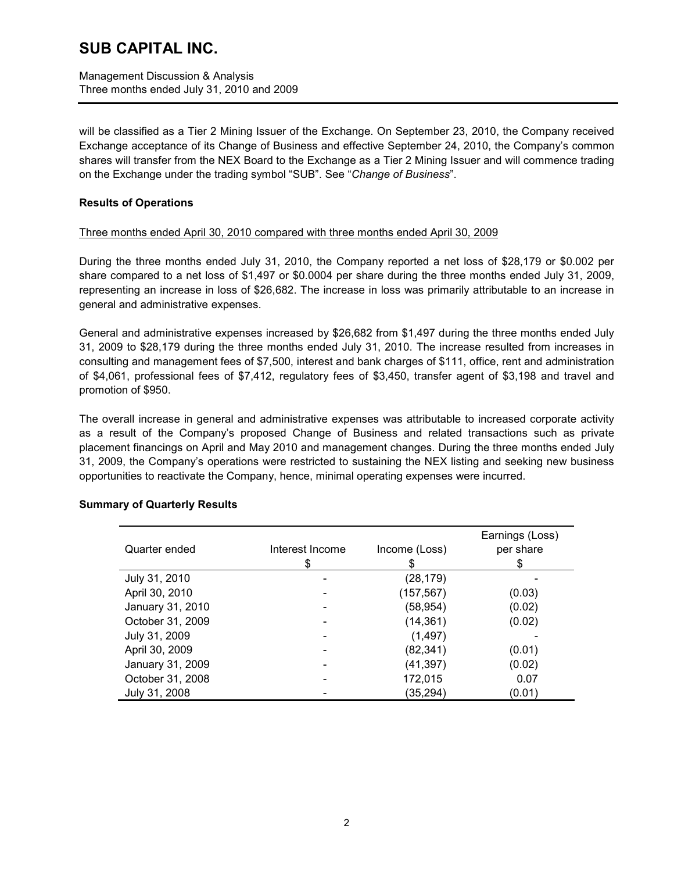Management Discussion & Analysis Three months ended July 31, 2010 and 2009

will be classified as a Tier 2 Mining Issuer of the Exchange. On September 23, 2010, the Company received Exchange acceptance of its Change of Business and effective September 24, 2010, the Company's common shares will transfer from the NEX Board to the Exchange as a Tier 2 Mining Issuer and will commence trading on the Exchange under the trading symbol "SUB". See "*Change of Business*".

### **Results of Operations**

### Three months ended April 30, 2010 compared with three months ended April 30, 2009

During the three months ended July 31, 2010, the Company reported a net loss of \$28,179 or \$0.002 per share compared to a net loss of \$1,497 or \$0.0004 per share during the three months ended July 31, 2009, representing an increase in loss of \$26,682. The increase in loss was primarily attributable to an increase in general and administrative expenses.

General and administrative expenses increased by \$26,682 from \$1,497 during the three months ended July 31, 2009 to \$28,179 during the three months ended July 31, 2010. The increase resulted from increases in consulting and management fees of \$7,500, interest and bank charges of \$111, office, rent and administration of \$4,061, professional fees of \$7,412, regulatory fees of \$3,450, transfer agent of \$3,198 and travel and promotion of \$950.

The overall increase in general and administrative expenses was attributable to increased corporate activity as a result of the Company's proposed Change of Business and related transactions such as private placement financings on April and May 2010 and management changes. During the three months ended July 31, 2009, the Company's operations were restricted to sustaining the NEX listing and seeking new business opportunities to reactivate the Company, hence, minimal operating expenses were incurred.

| Quarter ended    | Interest Income<br>\$ | Income (Loss)<br>\$ | Earnings (Loss)<br>per share<br>\$ |
|------------------|-----------------------|---------------------|------------------------------------|
| July 31, 2010    |                       | (28, 179)           |                                    |
| April 30, 2010   |                       | (157, 567)          | (0.03)                             |
| January 31, 2010 |                       | (58, 954)           | (0.02)                             |
| October 31, 2009 |                       | (14, 361)           | (0.02)                             |
| July 31, 2009    |                       | (1, 497)            |                                    |
| April 30, 2009   |                       | (82, 341)           | (0.01)                             |
| January 31, 2009 |                       | (41, 397)           | (0.02)                             |
| October 31, 2008 |                       | 172,015             | 0.07                               |
| July 31, 2008    |                       | (35,294)            | (0.01)                             |

### **Summary of Quarterly Results**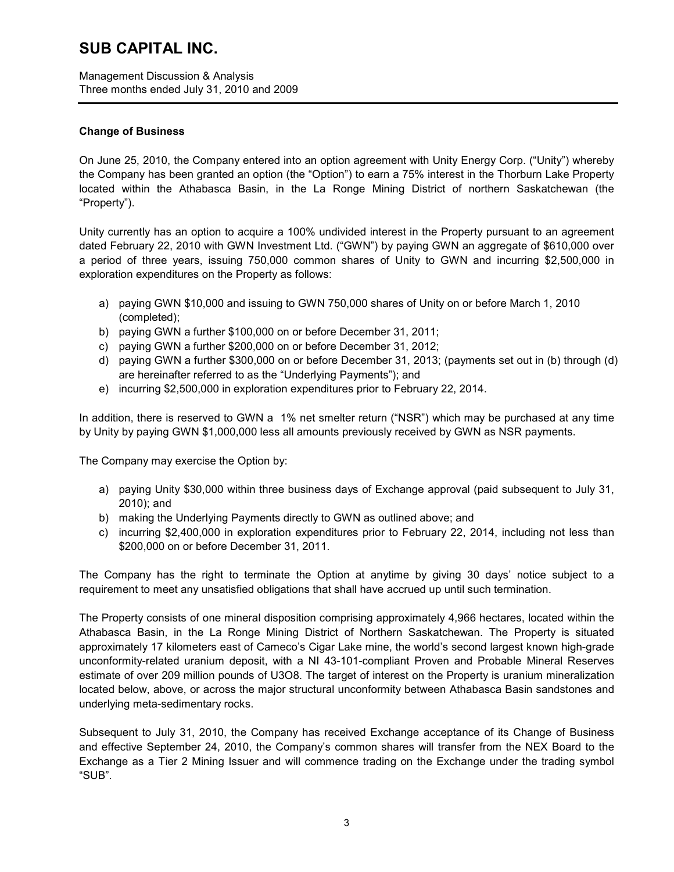Management Discussion & Analysis Three months ended July 31, 2010 and 2009

### **Change of Business**

On June 25, 2010, the Company entered into an option agreement with Unity Energy Corp. ("Unity") whereby the Company has been granted an option (the "Option") to earn a 75% interest in the Thorburn Lake Property located within the Athabasca Basin, in the La Ronge Mining District of northern Saskatchewan (the "Property").

Unity currently has an option to acquire a 100% undivided interest in the Property pursuant to an agreement dated February 22, 2010 with GWN Investment Ltd. ("GWN") by paying GWN an aggregate of \$610,000 over a period of three years, issuing 750,000 common shares of Unity to GWN and incurring \$2,500,000 in exploration expenditures on the Property as follows:

- a) paying GWN \$10,000 and issuing to GWN 750,000 shares of Unity on or before March 1, 2010 (completed);
- b) paying GWN a further \$100,000 on or before December 31, 2011;
- c) paying GWN a further \$200,000 on or before December 31, 2012;
- d) paying GWN a further \$300,000 on or before December 31, 2013; (payments set out in (b) through (d) are hereinafter referred to as the "Underlying Payments"); and
- e) incurring \$2,500,000 in exploration expenditures prior to February 22, 2014.

In addition, there is reserved to GWN a 1% net smelter return ("NSR") which may be purchased at any time by Unity by paying GWN \$1,000,000 less all amounts previously received by GWN as NSR payments.

The Company may exercise the Option by:

- a) paying Unity \$30,000 within three business days of Exchange approval (paid subsequent to July 31, 2010); and
- b) making the Underlying Payments directly to GWN as outlined above; and
- c) incurring \$2,400,000 in exploration expenditures prior to February 22, 2014, including not less than \$200,000 on or before December 31, 2011.

The Company has the right to terminate the Option at anytime by giving 30 days' notice subject to a requirement to meet any unsatisfied obligations that shall have accrued up until such termination.

The Property consists of one mineral disposition comprising approximately 4,966 hectares, located within the Athabasca Basin, in the La Ronge Mining District of Northern Saskatchewan. The Property is situated approximately 17 kilometers east of Cameco's Cigar Lake mine, the world's second largest known high-grade unconformity-related uranium deposit, with a NI 43-101-compliant Proven and Probable Mineral Reserves estimate of over 209 million pounds of U3O8. The target of interest on the Property is uranium mineralization located below, above, or across the major structural unconformity between Athabasca Basin sandstones and underlying meta-sedimentary rocks.

Subsequent to July 31, 2010, the Company has received Exchange acceptance of its Change of Business and effective September 24, 2010, the Company's common shares will transfer from the NEX Board to the Exchange as a Tier 2 Mining Issuer and will commence trading on the Exchange under the trading symbol "SUB".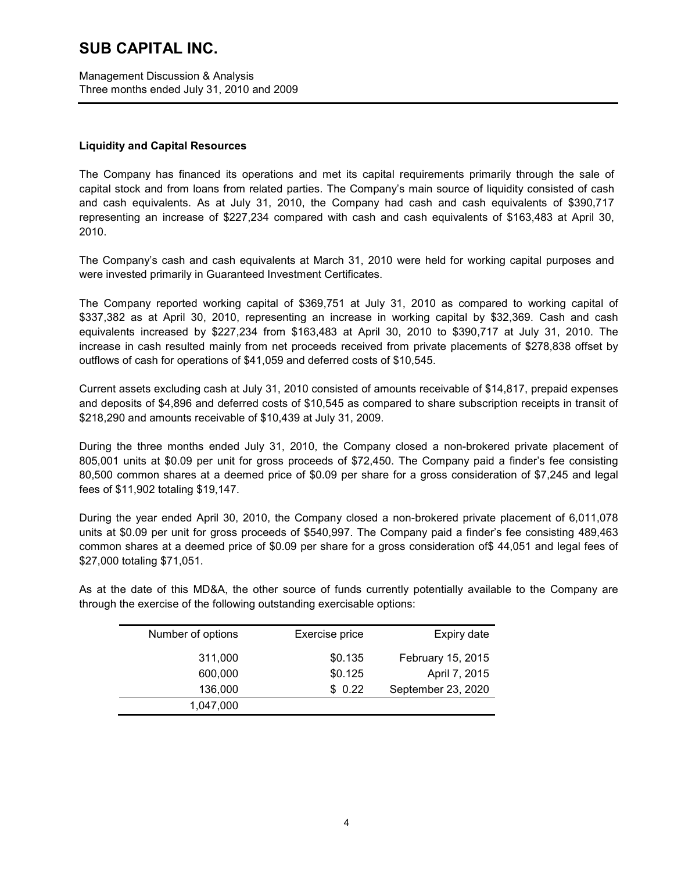Management Discussion & Analysis Three months ended July 31, 2010 and 2009

### **Liquidity and Capital Resources**

The Company has financed its operations and met its capital requirements primarily through the sale of capital stock and from loans from related parties. The Company's main source of liquidity consisted of cash and cash equivalents. As at July 31, 2010, the Company had cash and cash equivalents of \$390,717 representing an increase of \$227,234 compared with cash and cash equivalents of \$163,483 at April 30, 2010.

The Company's cash and cash equivalents at March 31, 2010 were held for working capital purposes and were invested primarily in Guaranteed Investment Certificates.

The Company reported working capital of \$369,751 at July 31, 2010 as compared to working capital of \$337,382 as at April 30, 2010, representing an increase in working capital by \$32,369. Cash and cash equivalents increased by \$227,234 from \$163,483 at April 30, 2010 to \$390,717 at July 31, 2010. The increase in cash resulted mainly from net proceeds received from private placements of \$278,838 offset by outflows of cash for operations of \$41,059 and deferred costs of \$10,545.

Current assets excluding cash at July 31, 2010 consisted of amounts receivable of \$14,817, prepaid expenses and deposits of \$4,896 and deferred costs of \$10,545 as compared to share subscription receipts in transit of \$218,290 and amounts receivable of \$10,439 at July 31, 2009.

During the three months ended July 31, 2010, the Company closed a non-brokered private placement of 805,001 units at \$0.09 per unit for gross proceeds of \$72,450. The Company paid a finder's fee consisting 80,500 common shares at a deemed price of \$0.09 per share for a gross consideration of \$7,245 and legal fees of \$11,902 totaling \$19,147.

During the year ended April 30, 2010, the Company closed a non-brokered private placement of 6,011,078 units at \$0.09 per unit for gross proceeds of \$540,997. The Company paid a finder's fee consisting 489,463 common shares at a deemed price of \$0.09 per share for a gross consideration of\$ 44,051 and legal fees of \$27,000 totaling \$71,051.

As at the date of this MD&A, the other source of funds currently potentially available to the Company are through the exercise of the following outstanding exercisable options:

| Number of options | Exercise price | Expiry date        |
|-------------------|----------------|--------------------|
| 311,000           | \$0.135        | February 15, 2015  |
| 600,000           | \$0.125        | April 7, 2015      |
| 136,000           | \$0.22         | September 23, 2020 |
| 1,047,000         |                |                    |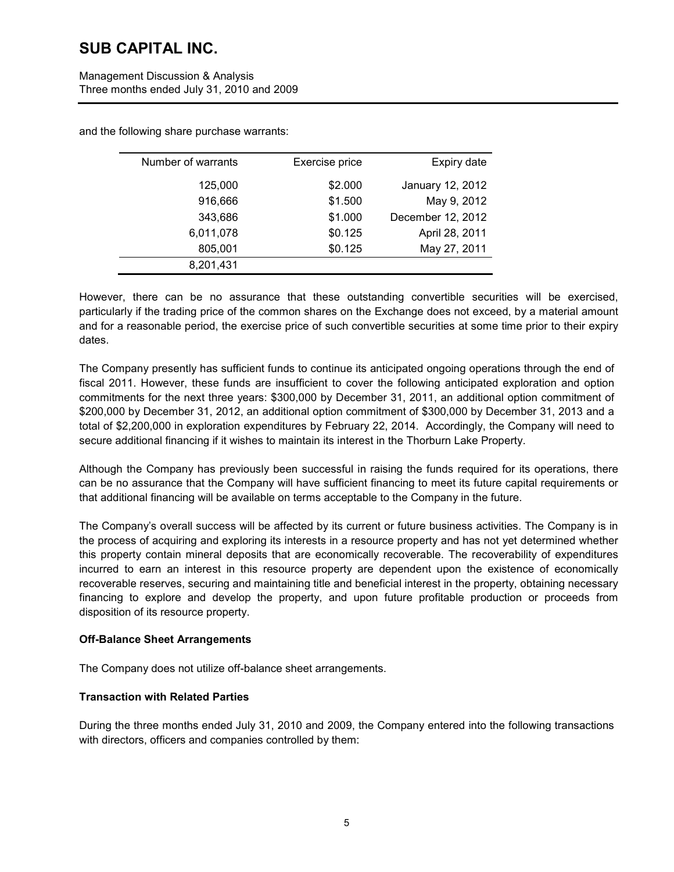| Management Discussion & Analysis          |
|-------------------------------------------|
| Three months ended July 31, 2010 and 2009 |

| Number of warrants | Exercise price | Expiry date       |
|--------------------|----------------|-------------------|
| 125,000            | \$2.000        | January 12, 2012  |
| 916,666            | \$1.500        | May 9, 2012       |
| 343,686            | \$1.000        | December 12, 2012 |
| 6,011,078          | \$0.125        | April 28, 2011    |
| 805,001            | \$0.125        | May 27, 2011      |
| 8,201,431          |                |                   |

and the following share purchase warrants:

However, there can be no assurance that these outstanding convertible securities will be exercised, particularly if the trading price of the common shares on the Exchange does not exceed, by a material amount and for a reasonable period, the exercise price of such convertible securities at some time prior to their expiry dates.

The Company presently has sufficient funds to continue its anticipated ongoing operations through the end of fiscal 2011. However, these funds are insufficient to cover the following anticipated exploration and option commitments for the next three years: \$300,000 by December 31, 2011, an additional option commitment of \$200,000 by December 31, 2012, an additional option commitment of \$300,000 by December 31, 2013 and a total of \$2,200,000 in exploration expenditures by February 22, 2014. Accordingly, the Company will need to secure additional financing if it wishes to maintain its interest in the Thorburn Lake Property.

Although the Company has previously been successful in raising the funds required for its operations, there can be no assurance that the Company will have sufficient financing to meet its future capital requirements or that additional financing will be available on terms acceptable to the Company in the future.

The Company's overall success will be affected by its current or future business activities. The Company is in the process of acquiring and exploring its interests in a resource property and has not yet determined whether this property contain mineral deposits that are economically recoverable. The recoverability of expenditures incurred to earn an interest in this resource property are dependent upon the existence of economically recoverable reserves, securing and maintaining title and beneficial interest in the property, obtaining necessary financing to explore and develop the property, and upon future profitable production or proceeds from disposition of its resource property.

### **Off-Balance Sheet Arrangements**

The Company does not utilize off-balance sheet arrangements.

### **Transaction with Related Parties**

During the three months ended July 31, 2010 and 2009, the Company entered into the following transactions with directors, officers and companies controlled by them: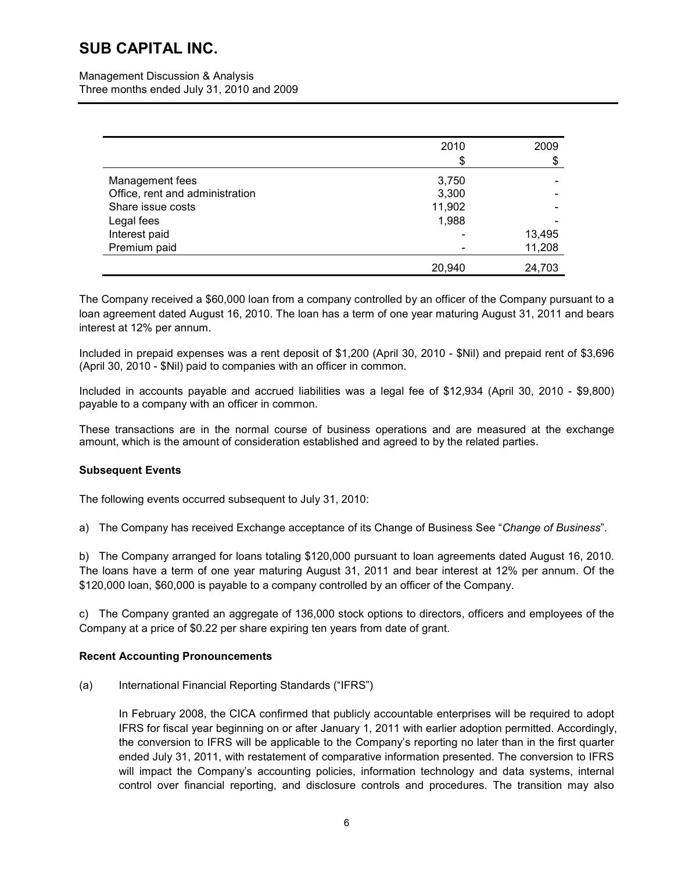Management Discussion & Analysis Three months ended July 31, 2010 and 2009

|                                 | 2010   | 2009   |
|---------------------------------|--------|--------|
|                                 | \$     | \$     |
| Management fees                 | 3,750  |        |
| Office, rent and administration | 3,300  |        |
| Share issue costs               | 11,902 |        |
| Legal fees                      | 1,988  |        |
| Interest paid                   |        | 13,495 |
| Premium paid                    |        | 11,208 |
|                                 | 20,940 | 24,703 |

The Company received a \$60,000 loan from a company controlled by an officer of the Company pursuant to a loan agreement dated August 16, 2010. The loan has a term of one year maturing August 31, 2011 and bears interest at 12% per annum.

Included in prepaid expenses was a rent deposit of \$1,200 (April 30, 2010 - \$Nil) and prepaid rent of \$3,696 (April 30, 2010 - \$Nil) paid to companies with an officer in common.

Included in accounts payable and accrued liabilities was a legal fee of \$12,934 (April 30, 2010 - \$9,800) payable to a company with an officer in common.

These transactions are in the normal course of business operations and are measured at the exchange amount, which is the amount of consideration established and agreed to by the related parties.

### **Subsequent Events**

The following events occurred subsequent to July 31, 2010:

a) The Company has received Exchange acceptance of its Change of Business See "*Change of Business*".

b) The Company arranged for loans totaling \$120,000 pursuant to loan agreements dated August 16, 2010. The loans have a term of one year maturing August 31, 2011 and bear interest at 12% per annum. Of the \$120,000 loan, \$60,000 is payable to a company controlled by an officer of the Company.

c) The Company granted an aggregate of 136,000 stock options to directors, officers and employees of the Company at a price of \$0.22 per share expiring ten years from date of grant.

### **Recent Accounting Pronouncements**

(a) International Financial Reporting Standards ("IFRS")

In February 2008, the CICA confirmed that publicly accountable enterprises will be required to adopt IFRS for fiscal year beginning on or after January 1, 2011 with earlier adoption permitted. Accordingly, the conversion to IFRS will be applicable to the Company's reporting no later than in the first quarter ended July 31, 2011, with restatement of comparative information presented. The conversion to IFRS will impact the Company's accounting policies, information technology and data systems, internal control over financial reporting, and disclosure controls and procedures. The transition may also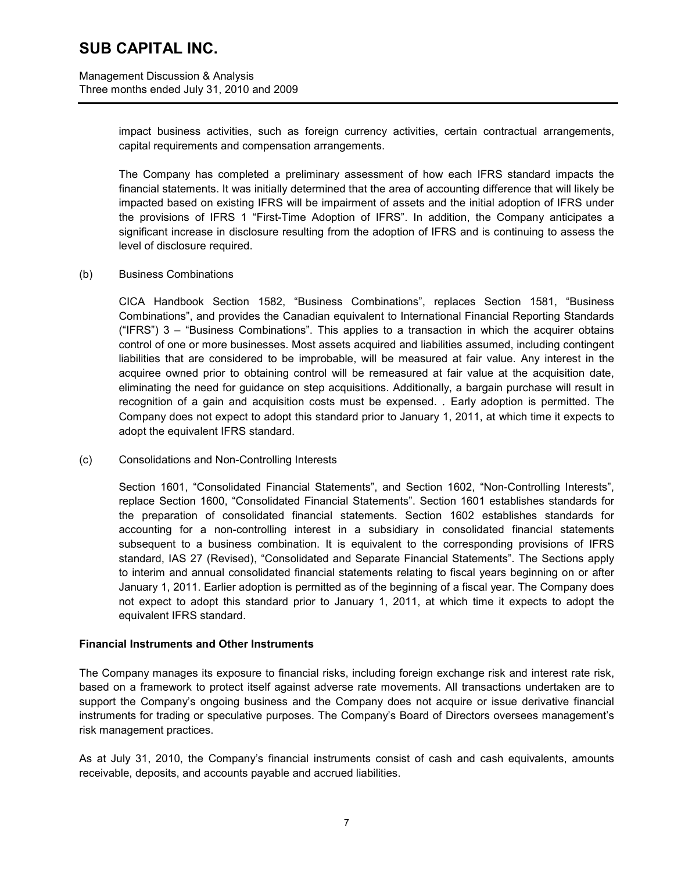impact business activities, such as foreign currency activities, certain contractual arrangements, capital requirements and compensation arrangements.

The Company has completed a preliminary assessment of how each IFRS standard impacts the financial statements. It was initially determined that the area of accounting difference that will likely be impacted based on existing IFRS will be impairment of assets and the initial adoption of IFRS under the provisions of IFRS 1 "First-Time Adoption of IFRS". In addition, the Company anticipates a significant increase in disclosure resulting from the adoption of IFRS and is continuing to assess the level of disclosure required.

#### (b) Business Combinations

CICA Handbook Section 1582, "Business Combinations", replaces Section 1581, "Business Combinations", and provides the Canadian equivalent to International Financial Reporting Standards ("IFRS") 3 – "Business Combinations". This applies to a transaction in which the acquirer obtains control of one or more businesses. Most assets acquired and liabilities assumed, including contingent liabilities that are considered to be improbable, will be measured at fair value. Any interest in the acquiree owned prior to obtaining control will be remeasured at fair value at the acquisition date, eliminating the need for guidance on step acquisitions. Additionally, a bargain purchase will result in recognition of a gain and acquisition costs must be expensed. . Early adoption is permitted. The Company does not expect to adopt this standard prior to January 1, 2011, at which time it expects to adopt the equivalent IFRS standard.

(c) Consolidations and Non-Controlling Interests

Section 1601, "Consolidated Financial Statements", and Section 1602, "Non-Controlling Interests", replace Section 1600, "Consolidated Financial Statements". Section 1601 establishes standards for the preparation of consolidated financial statements. Section 1602 establishes standards for accounting for a non-controlling interest in a subsidiary in consolidated financial statements subsequent to a business combination. It is equivalent to the corresponding provisions of IFRS standard, IAS 27 (Revised), "Consolidated and Separate Financial Statements". The Sections apply to interim and annual consolidated financial statements relating to fiscal years beginning on or after January 1, 2011. Earlier adoption is permitted as of the beginning of a fiscal year. The Company does not expect to adopt this standard prior to January 1, 2011, at which time it expects to adopt the equivalent IFRS standard.

### **Financial Instruments and Other Instruments**

The Company manages its exposure to financial risks, including foreign exchange risk and interest rate risk, based on a framework to protect itself against adverse rate movements. All transactions undertaken are to support the Company's ongoing business and the Company does not acquire or issue derivative financial instruments for trading or speculative purposes. The Company's Board of Directors oversees management's risk management practices.

As at July 31, 2010, the Company's financial instruments consist of cash and cash equivalents, amounts receivable, deposits, and accounts payable and accrued liabilities.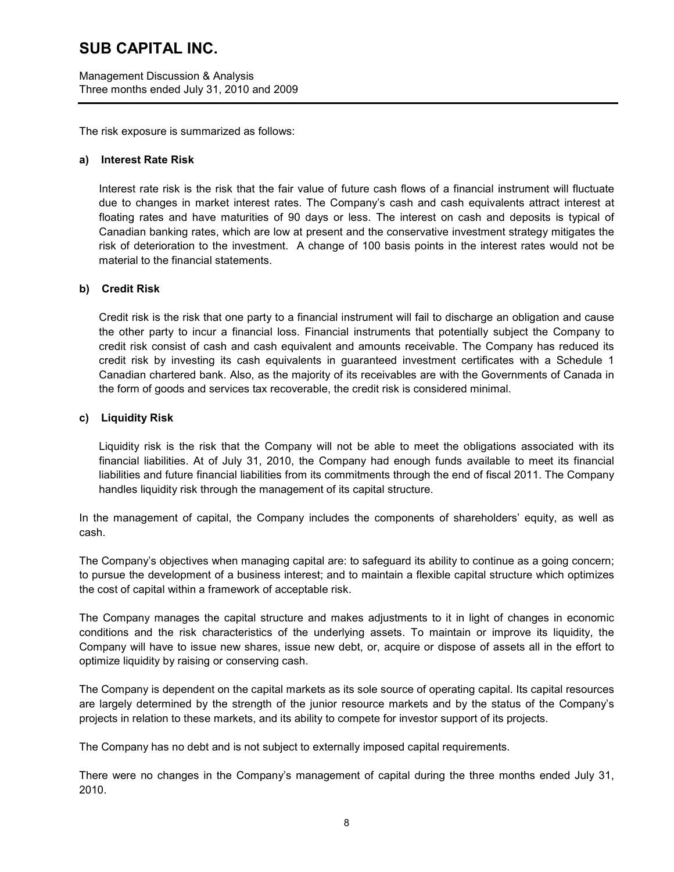Management Discussion & Analysis Three months ended July 31, 2010 and 2009

The risk exposure is summarized as follows:

#### **a) Interest Rate Risk**

Interest rate risk is the risk that the fair value of future cash flows of a financial instrument will fluctuate due to changes in market interest rates. The Company's cash and cash equivalents attract interest at floating rates and have maturities of 90 days or less. The interest on cash and deposits is typical of Canadian banking rates, which are low at present and the conservative investment strategy mitigates the risk of deterioration to the investment. A change of 100 basis points in the interest rates would not be material to the financial statements.

#### **b) Credit Risk**

Credit risk is the risk that one party to a financial instrument will fail to discharge an obligation and cause the other party to incur a financial loss. Financial instruments that potentially subject the Company to credit risk consist of cash and cash equivalent and amounts receivable. The Company has reduced its credit risk by investing its cash equivalents in guaranteed investment certificates with a Schedule 1 Canadian chartered bank. Also, as the majority of its receivables are with the Governments of Canada in the form of goods and services tax recoverable, the credit risk is considered minimal.

### **c) Liquidity Risk**

Liquidity risk is the risk that the Company will not be able to meet the obligations associated with its financial liabilities. At of July 31, 2010, the Company had enough funds available to meet its financial liabilities and future financial liabilities from its commitments through the end of fiscal 2011. The Company handles liquidity risk through the management of its capital structure.

In the management of capital, the Company includes the components of shareholders' equity, as well as cash.

The Company's objectives when managing capital are: to safeguard its ability to continue as a going concern; to pursue the development of a business interest; and to maintain a flexible capital structure which optimizes the cost of capital within a framework of acceptable risk.

The Company manages the capital structure and makes adjustments to it in light of changes in economic conditions and the risk characteristics of the underlying assets. To maintain or improve its liquidity, the Company will have to issue new shares, issue new debt, or, acquire or dispose of assets all in the effort to optimize liquidity by raising or conserving cash.

The Company is dependent on the capital markets as its sole source of operating capital. Its capital resources are largely determined by the strength of the junior resource markets and by the status of the Company's projects in relation to these markets, and its ability to compete for investor support of its projects.

The Company has no debt and is not subject to externally imposed capital requirements.

There were no changes in the Company's management of capital during the three months ended July 31, 2010.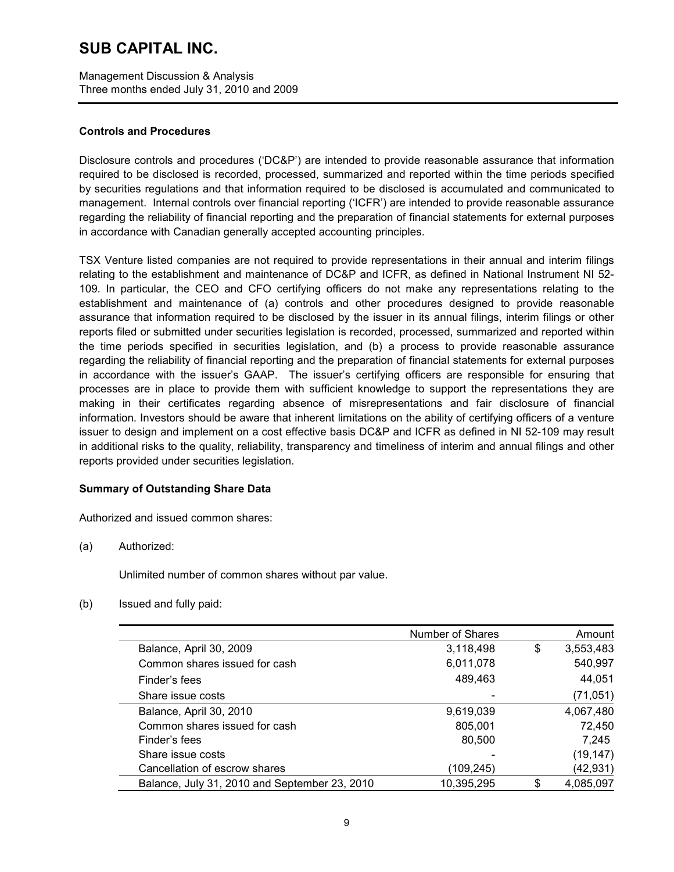Management Discussion & Analysis Three months ended July 31, 2010 and 2009

#### **Controls and Procedures**

Disclosure controls and procedures ('DC&P') are intended to provide reasonable assurance that information required to be disclosed is recorded, processed, summarized and reported within the time periods specified by securities regulations and that information required to be disclosed is accumulated and communicated to management. Internal controls over financial reporting ('ICFR') are intended to provide reasonable assurance regarding the reliability of financial reporting and the preparation of financial statements for external purposes in accordance with Canadian generally accepted accounting principles.

TSX Venture listed companies are not required to provide representations in their annual and interim filings relating to the establishment and maintenance of DC&P and ICFR, as defined in National Instrument NI 52- 109. In particular, the CEO and CFO certifying officers do not make any representations relating to the establishment and maintenance of (a) controls and other procedures designed to provide reasonable assurance that information required to be disclosed by the issuer in its annual filings, interim filings or other reports filed or submitted under securities legislation is recorded, processed, summarized and reported within the time periods specified in securities legislation, and (b) a process to provide reasonable assurance regarding the reliability of financial reporting and the preparation of financial statements for external purposes in accordance with the issuer's GAAP. The issuer's certifying officers are responsible for ensuring that processes are in place to provide them with sufficient knowledge to support the representations they are making in their certificates regarding absence of misrepresentations and fair disclosure of financial information. Investors should be aware that inherent limitations on the ability of certifying officers of a venture issuer to design and implement on a cost effective basis DC&P and ICFR as defined in NI 52-109 may result in additional risks to the quality, reliability, transparency and timeliness of interim and annual filings and other reports provided under securities legislation.

### **Summary of Outstanding Share Data**

Authorized and issued common shares:

(a) Authorized:

Unlimited number of common shares without par value.

(b) Issued and fully paid:

|                                               | Number of Shares | Amount          |
|-----------------------------------------------|------------------|-----------------|
| Balance, April 30, 2009                       | 3,118,498        | \$<br>3,553,483 |
| Common shares issued for cash                 | 6,011,078        | 540,997         |
| Finder's fees                                 | 489,463          | 44,051          |
| Share issue costs                             |                  | (71, 051)       |
| Balance, April 30, 2010                       | 9,619,039        | 4,067,480       |
| Common shares issued for cash                 | 805,001          | 72,450          |
| Finder's fees                                 | 80,500           | 7.245           |
| Share issue costs                             |                  | (19, 147)       |
| Cancellation of escrow shares                 | (109,245)        | (42,931)        |
| Balance, July 31, 2010 and September 23, 2010 | 10,395,295       | 4,085,097       |